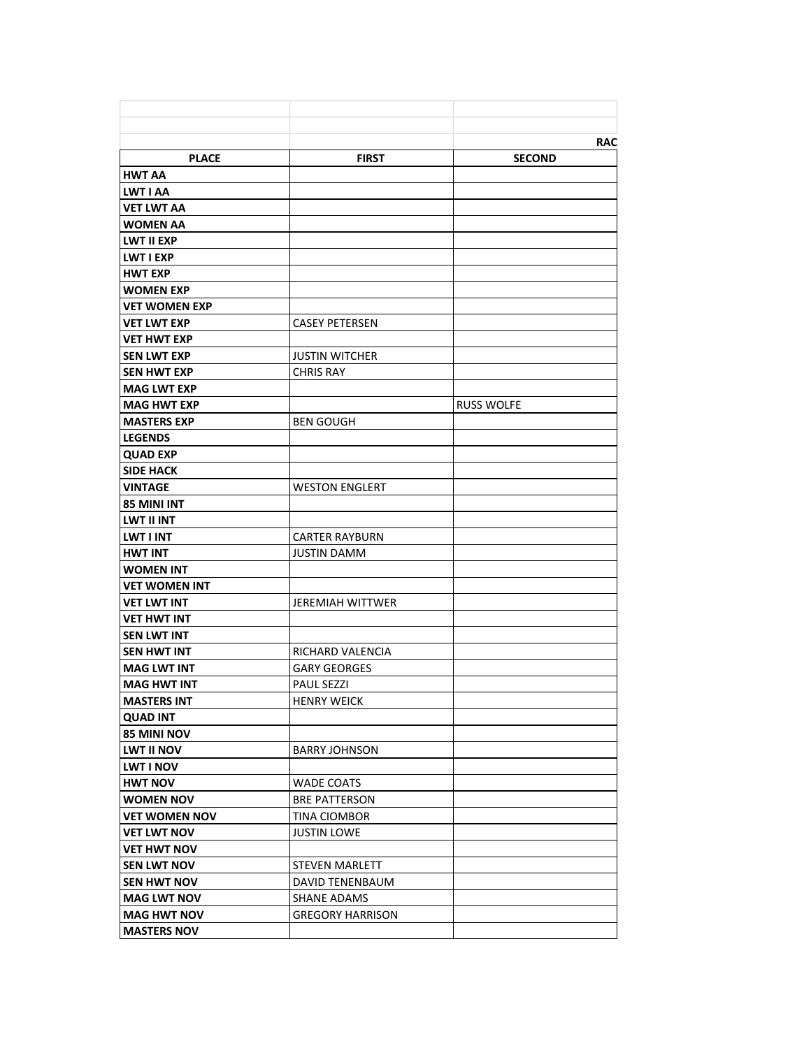|                                          |                         | <b>RAC</b>        |
|------------------------------------------|-------------------------|-------------------|
| <b>PLACE</b>                             | <b>FIRST</b>            | <b>SECOND</b>     |
| <b>HWT AA</b>                            |                         |                   |
| LWT I AA                                 |                         |                   |
| <b>VET LWT AA</b>                        |                         |                   |
| <b>WOMEN AA</b>                          |                         |                   |
| <b>LWT II EXP</b>                        |                         |                   |
| LWT I EXP                                |                         |                   |
| <b>HWT EXP</b>                           |                         |                   |
| <b>WOMEN EXP</b>                         |                         |                   |
| <b>VET WOMEN EXP</b>                     |                         |                   |
| <b>VET LWT EXP</b>                       | <b>CASEY PETERSEN</b>   |                   |
| <b>VET HWT EXP</b>                       |                         |                   |
| <b>SEN LWT EXP</b>                       | <b>JUSTIN WITCHER</b>   |                   |
| <b>SEN HWT EXP</b>                       | <b>CHRIS RAY</b>        |                   |
| <b>MAG LWT EXP</b>                       |                         |                   |
| <b>MAG HWT EXP</b>                       |                         | <b>RUSS WOLFE</b> |
| <b>MASTERS EXP</b>                       | <b>BEN GOUGH</b>        |                   |
| <b>LEGENDS</b>                           |                         |                   |
| <b>QUAD EXP</b>                          |                         |                   |
| <b>SIDE HACK</b>                         |                         |                   |
| <b>VINTAGE</b>                           | <b>WESTON ENGLERT</b>   |                   |
| <b>85 MINI INT</b>                       |                         |                   |
| <b>LWT II INT</b>                        |                         |                   |
| <b>LWT I INT</b>                         | <b>CARTER RAYBURN</b>   |                   |
| <b>HWT INT</b>                           | <b>JUSTIN DAMM</b>      |                   |
| <b>WOMEN INT</b>                         |                         |                   |
| <b>VET WOMEN INT</b>                     |                         |                   |
| <b>VET LWT INT</b>                       | <b>JEREMIAH WITTWER</b> |                   |
| <b>VET HWT INT</b>                       |                         |                   |
| <b>SEN LWT INT</b>                       |                         |                   |
| <b>SEN HWT INT</b>                       | RICHARD VALENCIA        |                   |
| <b>MAG LWT INT</b>                       | <b>GARY GEORGES</b>     |                   |
| <b>MAG HWT INT</b>                       | <b>PAUL SEZZI</b>       |                   |
| <b>MASTERS INT</b>                       | <b>HENRY WEICK</b>      |                   |
| <b>QUAD INT</b>                          |                         |                   |
| <b>85 MINI NOV</b>                       |                         |                   |
| <b>LWT II NOV</b>                        | <b>BARRY JOHNSON</b>    |                   |
| <b>LWT I NOV</b>                         |                         |                   |
| <b>HWT NOV</b>                           | <b>WADE COATS</b>       |                   |
| <b>WOMEN NOV</b>                         | <b>BRE PATTERSON</b>    |                   |
| <b>VET WOMEN NOV</b>                     | TINA CIOMBOR            |                   |
| <b>VET LWT NOV</b>                       | <b>JUSTIN LOWE</b>      |                   |
| <b>VET HWT NOV</b>                       |                         |                   |
| <b>SEN LWT NOV</b>                       | <b>STEVEN MARLETT</b>   |                   |
|                                          |                         |                   |
| <b>SEN HWT NOV</b>                       | DAVID TENENBAUM         |                   |
| <b>MAG LWT NOV</b>                       | SHANE ADAMS             |                   |
| <b>MAG HWT NOV</b><br><b>MASTERS NOV</b> | <b>GREGORY HARRISON</b> |                   |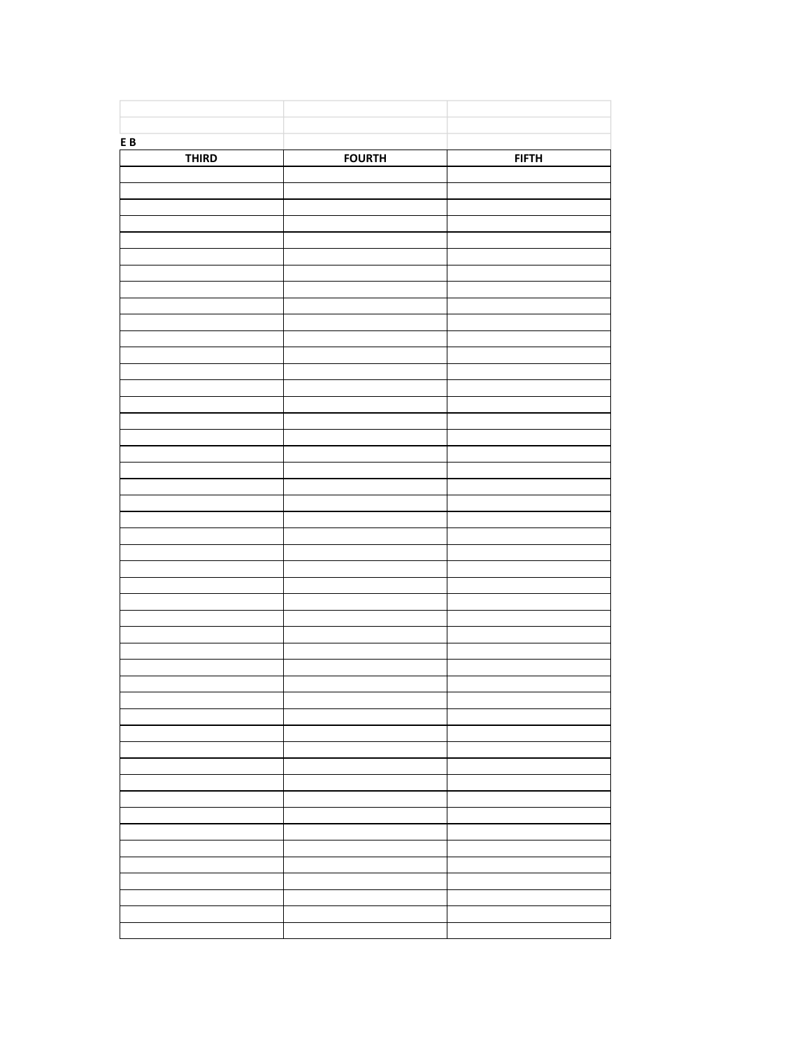| ${\bf E}$ B  |               |              |
|--------------|---------------|--------------|
| <b>THIRD</b> | <b>FOURTH</b> | <b>FIFTH</b> |
|              |               |              |
|              |               |              |
|              |               |              |
|              |               |              |
|              |               |              |
|              |               |              |
|              |               |              |
|              |               |              |
|              |               |              |
|              |               |              |
|              |               |              |
|              |               |              |
|              |               |              |
|              |               |              |
|              |               |              |
|              |               |              |
|              |               |              |
|              |               |              |
|              |               |              |
|              |               |              |
|              |               |              |
|              |               |              |
|              |               |              |
|              |               |              |
|              |               |              |
|              |               |              |
|              |               |              |
|              |               |              |
|              |               |              |
|              |               |              |
|              |               |              |
|              |               |              |
|              |               |              |
|              |               |              |
|              |               |              |
|              |               |              |
|              |               |              |
|              |               |              |
|              |               |              |
|              |               |              |
|              |               |              |
|              |               |              |
|              |               |              |
|              |               |              |
|              |               |              |
|              |               |              |
|              |               |              |
|              |               |              |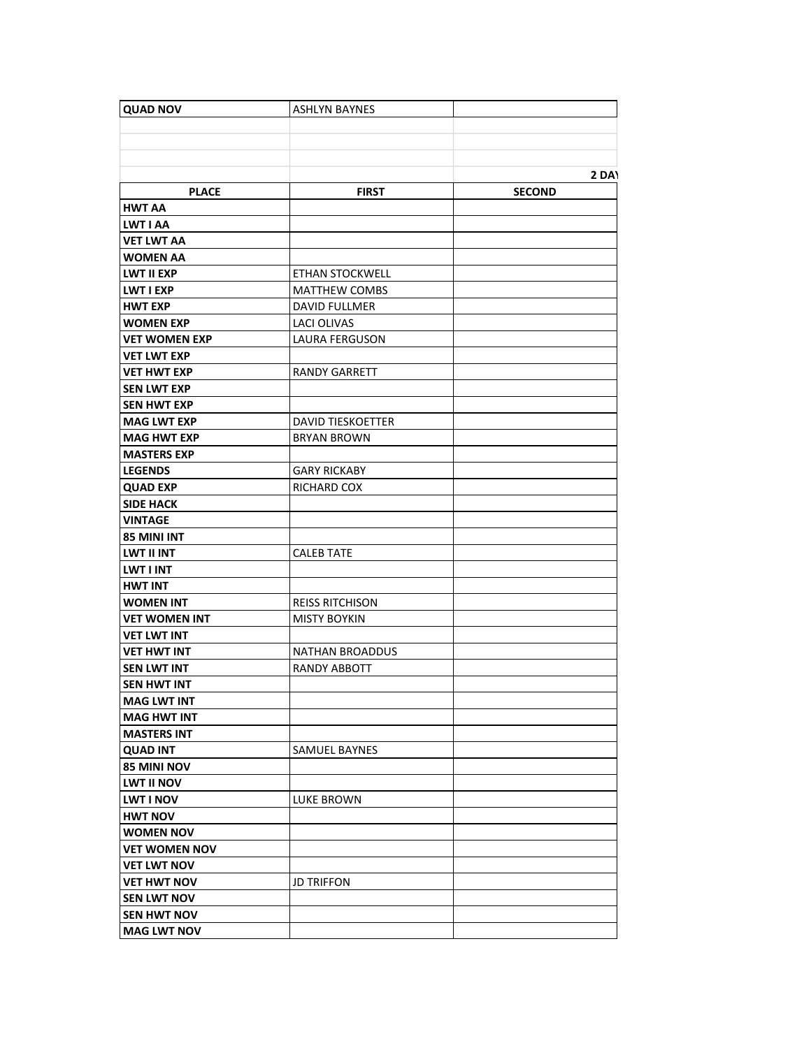| <b>QUAD NOV</b>      | <b>ASHLYN BAYNES</b>     |               |
|----------------------|--------------------------|---------------|
|                      |                          |               |
|                      |                          |               |
|                      |                          |               |
|                      |                          | 2 DAY         |
| <b>PLACE</b>         | <b>FIRST</b>             | <b>SECOND</b> |
| HWT AA               |                          |               |
| LWT I AA             |                          |               |
| <b>VET LWT AA</b>    |                          |               |
| <b>WOMEN AA</b>      |                          |               |
| LWT II EXP           | <b>ETHAN STOCKWELL</b>   |               |
| <b>LWT I EXP</b>     | <b>MATTHEW COMBS</b>     |               |
| <b>HWT EXP</b>       | DAVID FULLMER            |               |
| <b>WOMEN EXP</b>     | <b>LACI OLIVAS</b>       |               |
| <b>VET WOMEN EXP</b> | <b>LAURA FERGUSON</b>    |               |
| <b>VET LWT EXP</b>   |                          |               |
| <b>VET HWT EXP</b>   | <b>RANDY GARRETT</b>     |               |
| <b>SEN LWT EXP</b>   |                          |               |
| <b>SEN HWT EXP</b>   |                          |               |
| <b>MAG LWT EXP</b>   | <b>DAVID TIESKOETTER</b> |               |
| <b>MAG HWT EXP</b>   | <b>BRYAN BROWN</b>       |               |
| <b>MASTERS EXP</b>   |                          |               |
| <b>LEGENDS</b>       | <b>GARY RICKABY</b>      |               |
| <b>QUAD EXP</b>      | RICHARD COX              |               |
| <b>SIDE HACK</b>     |                          |               |
| <b>VINTAGE</b>       |                          |               |
| 85 MINI INT          |                          |               |
| LWT II INT           | <b>CALEB TATE</b>        |               |
| <b>LWT I INT</b>     |                          |               |
| <b>HWT INT</b>       |                          |               |
| <b>WOMEN INT</b>     | <b>REISS RITCHISON</b>   |               |
| <b>VET WOMEN INT</b> | <b>MISTY BOYKIN</b>      |               |
| <b>VET LWT INT</b>   |                          |               |
| <b>VET HWT INT</b>   | <b>NATHAN BROADDUS</b>   |               |
| <b>SEN LWT INT</b>   | <b>RANDY ABBOTT</b>      |               |
| <b>SEN HWT INT</b>   |                          |               |
| <b>MAG LWT INT</b>   |                          |               |
| <b>MAG HWT INT</b>   |                          |               |
| <b>MASTERS INT</b>   |                          |               |
| <b>QUAD INT</b>      | <b>SAMUEL BAYNES</b>     |               |
| 85 MINI NOV          |                          |               |
| LWT II NOV           |                          |               |
| <b>LWT I NOV</b>     | <b>LUKE BROWN</b>        |               |
| <b>HWT NOV</b>       |                          |               |
| <b>WOMEN NOV</b>     |                          |               |
| <b>VET WOMEN NOV</b> |                          |               |
| <b>VET LWT NOV</b>   |                          |               |
| <b>VET HWT NOV</b>   | <b>JD TRIFFON</b>        |               |
| <b>SEN LWT NOV</b>   |                          |               |
| <b>SEN HWT NOV</b>   |                          |               |
| <b>MAG LWT NOV</b>   |                          |               |
|                      |                          |               |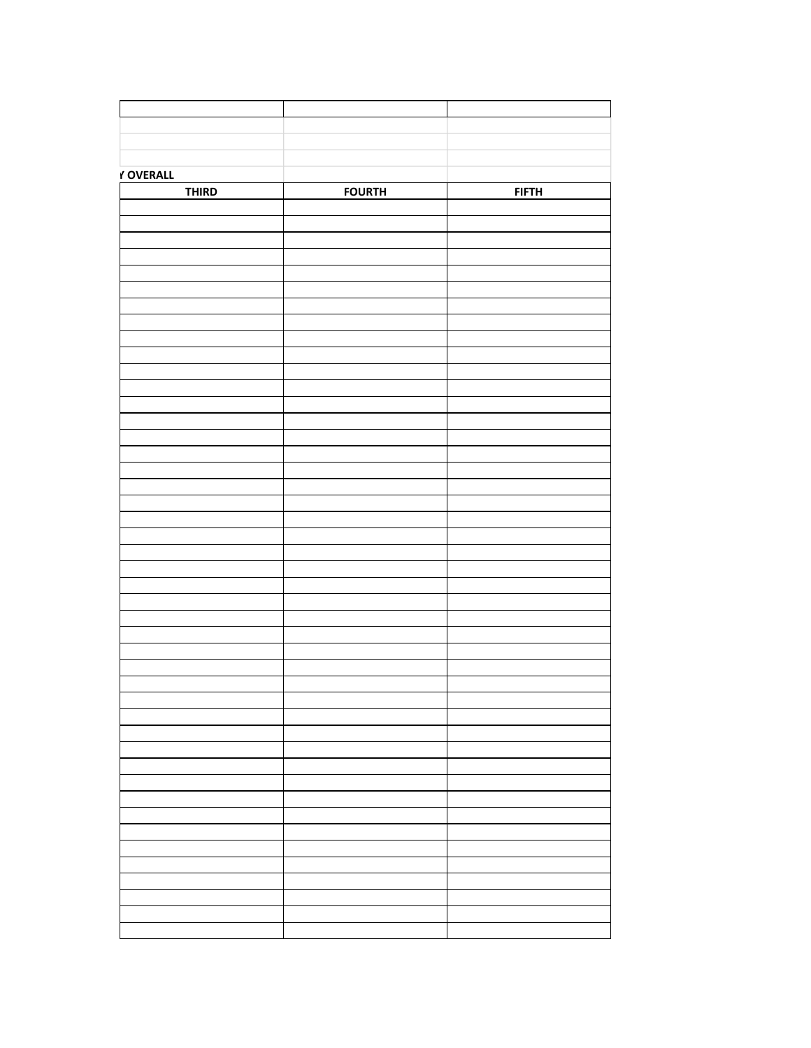| Y OVERALL    |               |              |
|--------------|---------------|--------------|
| <b>THIRD</b> | <b>FOURTH</b> | <b>FIFTH</b> |
|              |               |              |
|              |               |              |
|              |               |              |
|              |               |              |
|              |               |              |
|              |               |              |
|              |               |              |
|              |               |              |
|              |               |              |
|              |               |              |
|              |               |              |
|              |               |              |
|              |               |              |
|              |               |              |
|              |               |              |
|              |               |              |
|              |               |              |
|              |               |              |
|              |               |              |
|              |               |              |
|              |               |              |
|              |               |              |
|              |               |              |
|              |               |              |
|              |               |              |
|              |               |              |
|              |               |              |
|              |               |              |
|              |               |              |
|              |               |              |
|              |               |              |
|              |               |              |
|              |               |              |
|              |               |              |
|              |               |              |
|              |               |              |
|              |               |              |
|              |               |              |
|              |               |              |
|              |               |              |
|              |               |              |
|              |               |              |
|              |               |              |
|              |               |              |
|              |               |              |
|              |               |              |
|              |               |              |
|              |               |              |
|              |               |              |
|              |               |              |
|              |               |              |
|              |               |              |
|              |               |              |
|              |               |              |
|              |               |              |
|              |               |              |
|              |               |              |
|              |               |              |
|              |               |              |
|              |               |              |
|              |               |              |